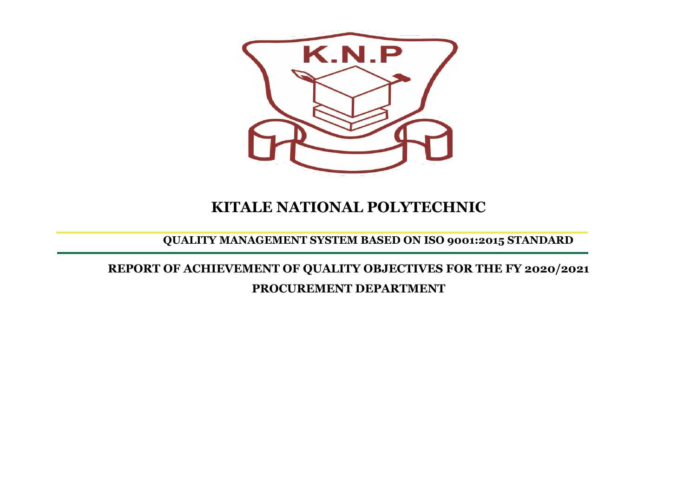

## **KITALE NATIONAL POLYTECHNIC**

## **QUALITY MANAGEMENT SYSTEM BASED ON ISO 9001:2015 STANDARD**

**REPORT OF ACHIEVEMENT OF QUALITY OBJECTIVES FOR THE FY 2020/2021 PROCUREMENT DEPARTMENT**